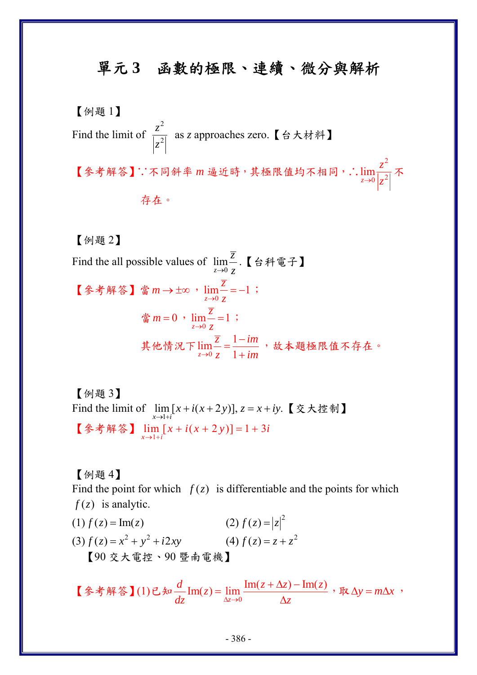## 單元 **3** 函數的極限、連續、微分與解析

【例題 1】 Find the limit of 2 2 *z z* as *z* approaches zero.【台大材料】 【參考解答】∵不同斜率 *m* 逼近時,其極限值均不相同,∴ 2  $\frac{1}{0}$  |  $\frac{2}{7}$ lim *z z*  $\rightarrow 0$   $\Big|$   $\mathcal{Z}$ 不 存在。

【例題 2】

Find the all possible values of  $\lim_{z\to 0}$ *z z*  $\rightarrow 0$  z .【台科電子】 【參考解答】當m→±∞,  $\lim_{z\to 0} \frac{z}{z} = -1$ *z z*  $\rightarrow 0$  z  $=-1$ ;  $\lim_{z \to 0} \frac{z}{z} = 1$ *z z*  $\rightarrow 0$  z  $= 1$ ; 其他情況下 $\lim_{z\to 0}$  $\lim \frac{\overline{z}}{z} = \frac{1}{z}$  $z \rightarrow 0$   $z$  1  $\overline{z}$  1-im  $\lim_{z \to 0} \frac{\overline{z}}{z} = \frac{1 - im}{1 + im}$ ,故本題極限值不存在。

【例題 3】 Find the limit of 1  $\lim [ x + i(x + 2y) ]$ ,  $z = x + iy$ .  $x \rightarrow 1+i$  $\lim_{x \to 1+i} [x + i(x + 2y)], z = x + iy.$  【交大控制】 【參考解答】  $\lim_{x \to 1+i} [x + i(x + 2y)] = 1 + 3i$ 

【例題 4】 Find the point for which  $f(z)$  is differentiable and the points for which  $f(z)$  is analytic.

(1)  $f(z) = \text{Im}(z)$  (2)  $f(z) = |z|^2$ (3)  $f(z) = x^2 + y^2 + i2xy$  <br> (4)  $f(z) = z + z^2$ 【90 交大電控、90 暨南電機】

【参考解答】(1)已知 $\frac{u}{dz}$ Im(z)= $\lim_{\Delta z \to 0}$  $\text{Im}(z) = \lim \frac{\text{Im}(z + \Delta z) - \text{Im}(z)}{h}$ *z d z z z z*  $\frac{d}{dz}$ Im(z) =  $\lim_{\Delta z \to 0} \frac{\text{Im}(z + \Delta z) - \text{Im}(z)}{\Delta z}$ ,  $\Re \Delta y = m\Delta x$ ,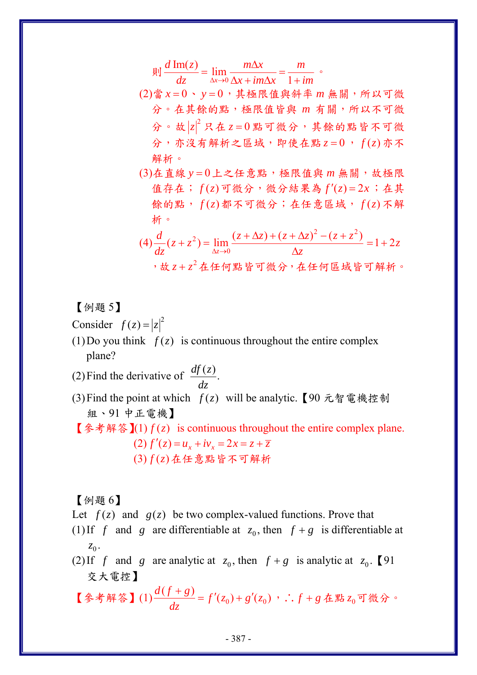$$
\text{and } \frac{d \text{Im}(z)}{dz} = \lim_{\Delta x \to 0} \frac{m\Delta x}{\Delta x + im\Delta x} = \frac{m}{1 + im} \text{ .}
$$

(2)當 *x* = 0、 *y* = 0,其極限值與斜率 *m* 無關,所以可微 分。在其餘的點,極限值皆與 *m* 有關,所以不可微 分。故 |z|2 只在 z=0點可微分,其餘的點皆不可微 分,亦沒有解析之區域,即使在點 *z* = 0, *f* ( )*z* 亦不 解析。

(3)在直線 y=0上之任意點,極限值與 m 無關,故極限 值存在;  $f(z)$ 可微分, 微分結果為  $f'(z) = 2x$ ; 在其 餘的點,  $f(z)$ 都不可微分; 在任意區域,  $f(z)$ 不解 析。

$$
(4)\frac{d}{dz}(z+z^2) = \lim_{\Delta z \to 0} \frac{(z+\Delta z) + (z+\Delta z)^2 - (z+z^2)}{\Delta z} = 1+2z
$$
\n
$$
\Rightarrow \text{& } z+z^2 \text{ 4+4} \text{ 4+4} \text{ 4+5} \text{ 4+6} \text{ 4+6} \text{ 4+6} \text{ 4+6} \text{ 4+6} \text{ 4+6} \text{ 4+6} \text{ 4+6} \text{ 4+6} \text{ 4+6} \text{ 4+6} \text{ 4+6} \text{ 4+6} \text{ 4+6} \text{ 4+6} \text{ 4+6} \text{ 4+6} \text{ 4+6} \text{ 4+6} \text{ 4+6} \text{ 4+6} \text{ 4+6} \text{ 4+6} \text{ 4+6} \text{ 4+6} \text{ 4+6} \text{ 4+6} \text{ 4+6} \text{ 4+6} \text{ 4+6} \text{ 4+6} \text{ 4+6} \text{ 4+6} \text{ 4+6} \text{ 4+6} \text{ 4+6} \text{ 4+6} \text{ 4+6} \text{ 4+6} \text{ 4+6} \text{ 4+6} \text{ 4+6} \text{ 4+6} \text{ 4+6} \text{ 4+6} \text{ 4+6} \text{ 4+6} \text{ 4+6} \text{ 4+6} \text{ 4+6} \text{ 4+6} \text{ 4+6} \text{ 4+6} \text{ 4+6} \text{ 4+6} \text{ 4+6} \text{ 4+6} \text{ 4+6} \text{ 4+6} \text{ 4+6} \text{ 4+6} \text{ 4+6} \text{ 4+6} \text{ 4+6} \text{ 4+6} \text{ 4+6} \text{ 4+6} \text{ 4+6} \text{ 4+6} \text{ 4+6} \text{ 4+6} \text{ 4+6} \text{ 4+6} \text{ 4+6} \text{ 4+6} \text{ 4+6} \text{ 4+6} \text{ 4+6} \text{ 4+6} \text{ 4+6} \text{ 4+6} \text{ 4+6} \
$$

【例題 5】

Consider  $f(z) = |z|^2$ 

(1)Do you think  $f(z)$  is continuous throughout the entire complex plane?

(2) Find the derivative of 
$$
\frac{df(z)}{dz}
$$
.

(3) Find the point at which  $f(z)$  will be analytic. 【90 元智電機控制 組、91 中正電機】

**【参考解答】(1)**  $f(z)$  **is continuous throughout the entire complex plane.** (2)  $f'(z) = u_x + iv_x = 2x = z + \overline{z}$ (3) ( ) *f z* 在任意點皆不可解析

【例題 6】

Let  $f(z)$  and  $g(z)$  be two complex-valued functions. Prove that

- (1) If *f* and *g* are differentiable at  $z_0$ , then  $f + g$  is differentiable at  $z_0$ .
- (2) If *f* and *g* are analytic at  $z_0$ , then  $f + g$  is analytic at  $z_0$ . [91 交大電控】

【参考解答】(1) $\frac{a(y+s)}{1} = f'(z_0) + g'(z_0)$  $\frac{d(f+g)}{dz} = f'(z_0) + g'(z_0)$ , ∴  $f+g$  在點  $z_0$  可微分。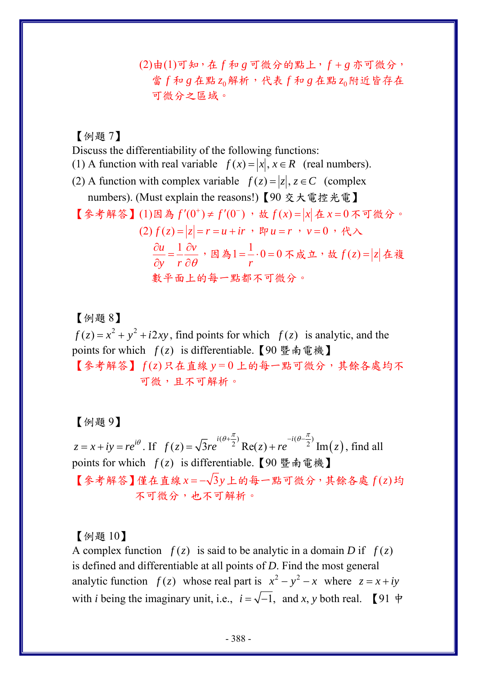(2)由(1)可知,在 *f* 和 *g* 可微分的點上,*f* + *g* 亦可微分, 當 *f* 和 *g* 在點 <sup>0</sup>*z* 解析,代表 *f* 和 *g* 在點 <sup>0</sup>*z* 附近皆存在 可微分之區域。

【例題 7】

Discuss the differentiability of the following functions:

- (1) A function with real variable  $f(x) = |x|, x \in R$  (real numbers).
- (2) A function with complex variable  $f(z) = |z|, z \in C$  (complex numbers). (Must explain the reasons!)【90 交大電控光電】
- 【參考解答】(1)因為  $f'(0^+)$ ≠  $f'(0^-)$ , 故  $f(x) = |x|$ 在  $x = 0$  不可微分。

$$
(2) f(z) = |z| = r = u + ir , \nvert p \, u = r , \nvert v = 0 , \nvert \mathcal{H} \wedge
$$
\n
$$
\frac{\partial u}{\partial y} = \frac{1}{r} \frac{\partial v}{\partial \theta}, \nvert \mathcal{H} \wedge \mathcal{H} = -0 = 0 \, \text{K} \, \dot{\mathcal{H}} \cdot \dot{\mathcal{H}} \cdot \dot{\mathcal{H}} \cdot f(z) = |z| \, \text{A} \, \dot{\mathcal{H}}
$$
\n
$$
\text{1} \, \dot{\mathcal{H}} \cdot \dot{\mathcal{H}} \cdot \dot{\mathcal{H}} \cdot \dot{\mathcal{H}} \cdot \dot{\mathcal{H}} \cdot \dot{\mathcal{H}} \cdot \dot{\mathcal{H}} \cdot \dot{\mathcal{H}} \cdot \dot{\mathcal{H}} \cdot \dot{\mathcal{H}} \cdot \dot{\mathcal{H}} \cdot \dot{\mathcal{H}} \cdot \dot{\mathcal{H}} \cdot \dot{\mathcal{H}} \cdot \dot{\mathcal{H}} \cdot \dot{\mathcal{H}} \cdot \dot{\mathcal{H}} \cdot \dot{\mathcal{H}} \cdot \dot{\mathcal{H}} \cdot \dot{\mathcal{H}} \cdot \dot{\mathcal{H}} \cdot \dot{\mathcal{H}} \cdot \dot{\mathcal{H}} \cdot \dot{\mathcal{H}} \cdot \dot{\mathcal{H}} \cdot \dot{\mathcal{H}} \cdot \dot{\mathcal{H}} \cdot \dot{\mathcal{H}} \cdot \dot{\mathcal{H}} \cdot \dot{\mathcal{H}} \cdot \dot{\mathcal{H}} \cdot \dot{\mathcal{H}} \cdot \dot{\mathcal{H}} \cdot \dot{\mathcal{H}} \cdot \dot{\mathcal{H}} \cdot \dot{\mathcal{H}} \cdot \dot{\mathcal{H}} \cdot \dot{\mathcal{H}} \cdot \dot{\mathcal{H}} \cdot \dot{\mathcal{H}} \cdot \dot{\mathcal{H}} \cdot \dot{\mathcal{H}} \cdot \dot{\mathcal{H}} \cdot \dot{\mathcal{H}} \cdot \dot{\mathcal{H}} \cdot \dot{\mathcal{H}} \cdot \dot{\mathcal{H}} \cdot \dot{\mathcal{H}} \cdot \dot{\mathcal{H}} \cdot \dot{\mathcal{H}} \cdot \dot{\mathcal{H}} \cdot \dot{\mathcal{H}} \cdot \dot{\mathcal{H}} \cdot \dot{\mathcal{H}} \cdot \dot{\mathcal{H}} \cdot \dot{\mathcal{H}} \cdot \dot{\mathcal{H}} \cdot \dot
$$

## 【例題 8】

 $f(z) = x^2 + y^2 + i2xy$ , find points for which  $f(z)$  is analytic, and the points for which  $f(z)$  is differentiable. 【90 暨南電機】

【參考解答】 *f* ( )*z* 只在直線 *y* = 0 上的每一點可微分,其餘各處均不 可微,且不可解析。

【例題 9】

 $z = x + iy = re^{i\theta}$ . If  $f(z) = \sqrt{3}re^{i(\theta + \frac{\pi}{2})}$  Re(z) +  $re^{-i(\theta - \frac{\pi}{2})}$  Im(z)  $(\theta + \frac{\pi}{\epsilon})$   $-i(\theta - \frac{\pi}{\epsilon})$  $=\sqrt{3re^{-(\sigma^2/2)}}$  Re(z) + re<sup>(1,2)</sup> Im(z), find all points for which  $f(z)$  is differentiable. 【90 暨南電機】 【參考解答】僅在直線 *x* = − 3*y*上的每一點可微分,其餘各處 *f* ( )*z* 均 不可微分,也不可解析。

【例題 10】

A complex function  $f(z)$  is said to be analytic in a domain *D* if  $f(z)$ is defined and differentiable at all points of *D*. Find the most general analytic function  $f(z)$  whose real part is  $x^2 - y^2 - x$  where  $z = x + iy$ with *i* being the imaginary unit, i.e.,  $i = \sqrt{-1}$ , and *x*, *y* both real. [91  $\neq$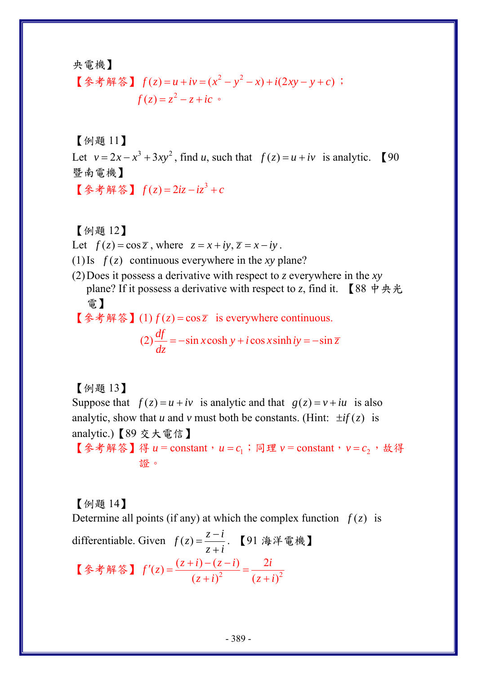央電機】

[
$$
\oint
$$
  $\oint$   $\oint$   $\oint$   $f(z) = u + iv = (x^2 - y^2 - x) + i(2xy - y + c)$ ;  
\n $f(z) = z^2 - z + ic$ 

【例題 11】

Let  $v = 2x - x^3 + 3xy^2$ , find *u*, such that  $f(z) = u + iv$  is analytic. 【90 暨南電機】 【参考解答】  $f(z) = 2iz - iz^3 + c$ 

【例題 12】

Let  $f(z) = \cos \overline{z}$ , where  $z = x + iy$ ,  $\overline{z} = x - iy$ .

(1) Is  $f(z)$  continuous everywhere in the *xy* plane?

- (2)Does it possess a derivative with respect to *z* everywhere in the *xy* plane? If it possess a derivative with respect to *z*, find it. 【88 中央光 電】
- 【參考解答】(1)  $f(z) = \cos \overline{z}$  is everywhere continuous.  $(2)$   $\frac{df}{dz} = -\sin x \cosh y + i \cos x \sinh iy = -\sin \overline{z}$  $=$   $-\sin x \cosh y + i \cos x \sinh iy = -$

【例題 13】

Suppose that  $f(z) = u + iv$  is analytic and that  $g(z) = v + iu$  is also analytic, show that *u* and *v* must both be constants. (Hint:  $\pm i f(z)$  is analytic.)【89 交大電信】

【参考解答】得  $u =$  constant,  $u = c_1$ ; 同理  $v =$  constant,  $v = c_2$ , 故得 證。

【例題 14】

Determine all points (if any) at which the complex function  $f(z)$  is

differentiable. Given  $f(z) = \frac{z - i}{z + i}$ . 【91 海洋電機】 【参考解答】  $f'(z) = \frac{(z+i) - (z-i)}{(z+i)^2} = \frac{2i}{(z+i)^2}$